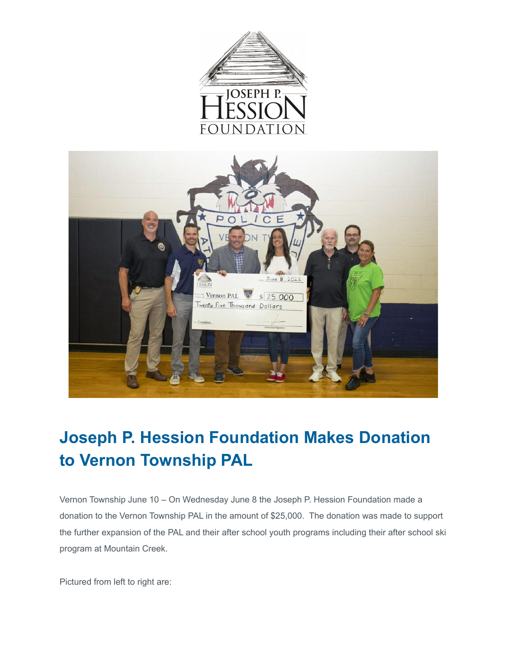



## **Joseph P. Hession Foundation Makes Donation to Vernon Township PAL**

Vernon Township June 10 – On Wednesday June 8 the Joseph P. Hession Foundation made a donation to the Vernon Township PAL in the amount of \$25,000. The donation was made to support the further expansion of the PAL and their after school youth programs including their after school ski program at Mountain Creek.

Pictured from left to right are: